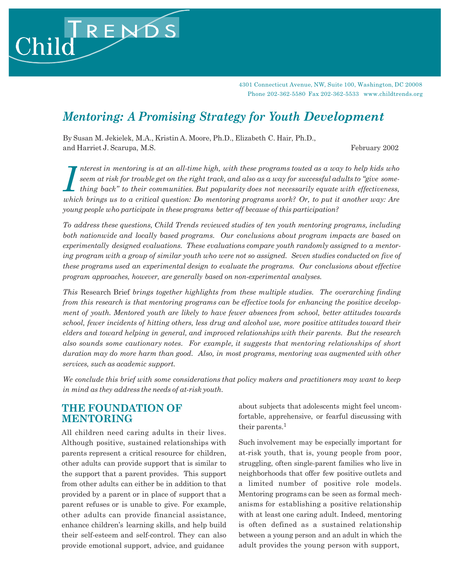4301 Connecticut Avenue, NW, Suite 100, Washington, DC 20008 Phone 202-362-5580 Fax 202-362-5533 www.childtrends.org

# *Mentoring: A Promising Strategy for Youth Development*

By Susan M. Jekielek, M.A., Kristin A. Moore, Ph.D., Elizabeth C. Hair, Ph.D., and Harriet J. Scarupa, M.S. **February 2002** 

RENDS

Child

Interest in mentoring is at an all-time high, with these programs touted as a way to help kids who<br>
seem at risk for trouble get on the right track, and also as a way for successful adults to "give some-<br>
thing back" to th *nterest in mentoring is at an all-time high, with these programs touted as a way to help kids who seem at risk for trouble get on the right track, and also as a way for successful adults to "give something back" to their communities. But popularity does not necessarily equate with effectiveness, young people who participate in these programs better off because of this participation?*

*To address these questions, Child Trends reviewed studies of ten youth mentoring programs, including both nationwide and locally based programs. Our conclusions about program impacts are based on experimentally designed evaluations. These evaluations compare youth randomly assigned to a mentoring program with a group of similar youth who were not so assigned. Seven studies conducted on five of these programs used an experimental design to evaluate the programs. Our conclusions about effective program approaches, however, are generally based on non-experimental analyses.*

*This* Research Brief *brings together highlights from these multiple studies. The overarching finding from this research is that mentoring programs can be effective tools for enhancing the positive development of youth. Mentored youth are likely to have fewer absences from school, better attitudes towards school, fewer incidents of hitting others, less drug and alcohol use, more positive attitudes toward their elders and toward helping in general, and improved relationships with their parents. But the research also sounds some cautionary notes. For example, it suggests that mentoring relationships of short duration may do more harm than good. Also, in most programs, mentoring was augmented with other services, such as academic support.*

*We conclude this brief with some considerations that policy makers and practitioners may want to keep in mind as they address the needs of at-risk youth.*

### **THE FOUNDATION OF MENTORING**

All children need caring adults in their lives. Although positive, sustained relationships with parents represent a critical resource for children, other adults can provide support that is similar to the support that a parent provides. This support from other adults can either be in addition to that provided by a parent or in place of support that a parent refuses or is unable to give. For example, other adults can provide financial assistance, enhance children's learning skills, and help build their self-esteem and self-control. They can also provide emotional support, advice, and guidance

about subjects that adolescents might feel uncomfortable, apprehensive, or fearful discussing with their parents.<sup>1</sup>

Such involvement may be especially important for at-risk youth, that is, young people from poor, struggling, often single-parent families who live in neighborhoods that offer few positive outlets and a limited number of positive role models. Mentoring programs can be seen as formal mechanisms for establishing a positive relationship with at least one caring adult. Indeed, mentoring is often defined as a sustained relationship between a young person and an adult in which the adult provides the young person with support,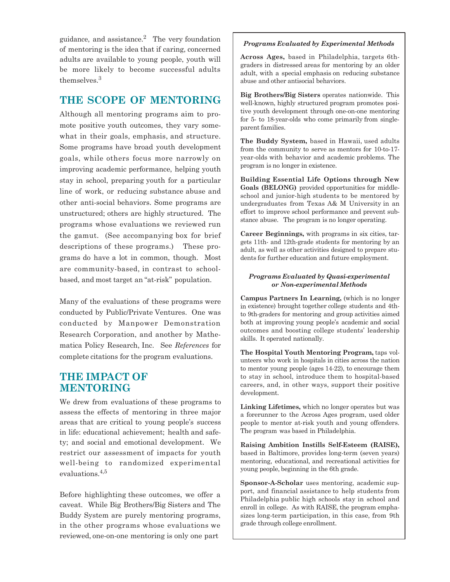guidance, and assistance.<sup>2</sup> The very foundation of mentoring is the idea that if caring, concerned adults are available to young people, youth will be more likely to become successful adults themselves.<sup>3</sup>

# **THE SCOPE OF MENTORING**

Although all mentoring programs aim to promote positive youth outcomes, they vary somewhat in their goals, emphasis, and structure. Some programs have broad youth development goals, while others focus more narrowly on improving academic performance, helping youth stay in school, preparing youth for a particular line of work, or reducing substance abuse and other anti-social behaviors. Some programs are unstructured; others are highly structured. The programs whose evaluations we reviewed run the gamut. (See accompanying box for brief descriptions of these programs.) These programs do have a lot in common, though. Most are community-based, in contrast to schoolbased, and most target an "at-risk" population.

Many of the evaluations of these programs were conducted by Public/Private Ventures. One was conducted by Manpower Demonstration Research Corporation, and another by Mathematica Policy Research, Inc. See *References* for complete citations for the program evaluations.

## **THE IMPACT OF MENTORING**

We drew from evaluations of these programs to assess the effects of mentoring in three major areas that are critical to young people's success in life: educational achievement; health and safety; and social and emotional development. We restrict our assessment of impacts for youth well-being to randomized experimental evaluations.4,5

Before highlighting these outcomes, we offer a caveat. While Big Brothers/Big Sisters and The Buddy System are purely mentoring programs, in the other programs whose evaluations we reviewed, one-on-one mentoring is only one part

### *Programs Evaluated by Experimental Methods*

**Across Ages,** based in Philadelphia, targets 6thgraders in distressed areas for mentoring by an older adult, with a special emphasis on reducing substance abuse and other antisocial behaviors.

**Big Brothers/Big Sisters** operates nationwide. This well-known, highly structured program promotes positive youth development through one-on-one mentoring for 5- to 18-year-olds who come primarily from singleparent families.

**The Buddy System,** based in Hawaii, used adults from the community to serve as mentors for 10-to-17 year-olds with behavior and academic problems. The program is no longer in existence.

**Building Essential Life Options through New Goals (BELONG)** provided opportunities for middleschool and junior-high students to be mentored by undergraduates from Texas A& M University in an effort to improve school performance and prevent substance abuse. The program is no longer operating.

**Career Beginnings,** with programs in six cities, targets 11th- and 12th-grade students for mentoring by an adult, as well as other activities designed to prepare students for further education and future employment.

### *Programs Evaluated by Quasi-experimental or Non-experimental Methods*

**Campus Partners In Learning,** (which is no longer in existence) brought together college students and 4thto 9th-graders for mentoring and group activities aimed both at improving young people's academic and social outcomes and boosting college students' leadership skills. It operated nationally.

**The Hospital Youth Mentoring Program,** taps volunteers who work in hospitals in cities across the nation to mentor young people (ages 14-22), to encourage them to stay in school, introduce them to hospital-based careers, and, in other ways, support their positive development.

**Linking Lifetimes,** which no longer operates but was a forerunner to the Across Ages program, used older people to mentor at-risk youth and young offenders. The program was based in Philadelphia.

**Raising Ambition Instills Self-Esteem (RAISE),**  based in Baltimore, provides long-term (seven years) mentoring, educational, and recreational activities for young people, beginning in the 6th grade.

**Sponsor-A-Scholar** uses mentoring, academic support, and financial assistance to help students from Philadelphia public high schools stay in school and enroll in college. As with RAISE, the program emphasizes long-term participation, in this case, from 9th grade through college enrollment.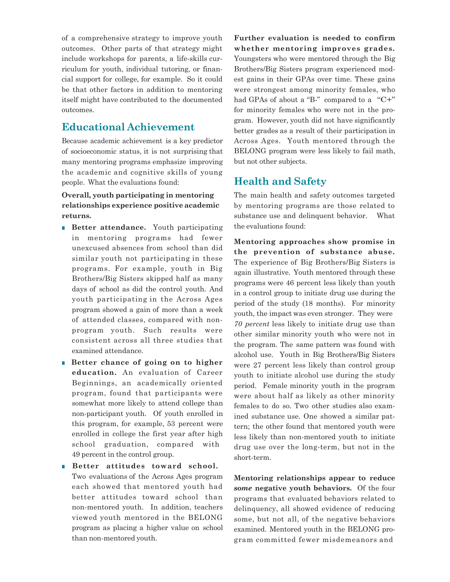of a comprehensive strategy to improve youth outcomes. Other parts of that strategy might include workshops for parents, a life-skills curriculum for youth, individual tutoring, or financial support for college, for example. So it could be that other factors in addition to mentoring itself might have contributed to the documented outcomes.

## **Educational Achievement**

Because academic achievement is a key predictor of socioeconomic status, it is not surprising that many mentoring programs emphasize improving the academic and cognitive skills of young people. What the evaluations found:

### **Overall, youth participating in mentoring relationships experience positive academic returns.**

- **Better attendance.** Youth participating in mentoring programs had fewer unexcused absences from school than did similar youth not participating in these programs. For example, youth in Big Brothers/Big Sisters skipped half as many days of school as did the control youth. And youth participating in the Across Ages program showed a gain of more than a week of attended classes, compared with nonprogram youth. Such results were consistent across all three studies that examined attendance.
- **Better chance of going on to higher education.** An evaluation of Career Beginnings, an academically oriented program, found that participants were somewhat more likely to attend college than non-participant youth. Of youth enrolled in this program, for example, 53 percent were enrolled in college the first year after high school graduation, compared with 49 percent in the control group.

### ■ **Better attitudes toward school.** Two evaluations of the Across Ages program each showed that mentored youth had better attitudes toward school than non-mentored youth. In addition, teachers viewed youth mentored in the BELONG program as placing a higher value on school than non-mentored youth.

**Further evaluation is needed to confirm whether mentoring improves grades.**  Youngsters who were mentored through the Big Brothers/Big Sisters program experienced modest gains in their GPAs over time. These gains were strongest among minority females, who had GPAs of about a "B-" compared to a "C+" for minority females who were not in the program. However, youth did not have significantly better grades as a result of their participation in Across Ages. Youth mentored through the BELONG program were less likely to fail math, but not other subjects.

# **Health and Safety**

The main health and safety outcomes targeted by mentoring programs are those related to substance use and delinquent behavior. What the evaluations found:

**Mentoring approaches show promise in the prevention of substance abuse.**  The experience of Big Brothers/Big Sisters is again illustrative. Youth mentored through these programs were 46 percent less likely than youth in a control group to initiate drug use during the period of the study (18 months). For minority youth, the impact was even stronger. They were *70 percent* less likely to initiate drug use than other similar minority youth who were not in the program. The same pattern was found with alcohol use. Youth in Big Brothers/Big Sisters were 27 percent less likely than control group youth to initiate alcohol use during the study period. Female minority youth in the program were about half as likely as other minority females to do so. Two other studies also examined substance use. One showed a similar pattern; the other found that mentored youth were less likely than non-mentored youth to initiate drug use over the long-term, but not in the short-term.

**Mentoring relationships appear to reduce**  *some* **negative youth behaviors.** Of the four programs that evaluated behaviors related to delinquency, all showed evidence of reducing some, but not all, of the negative behaviors examined. Mentored youth in the BELONG program committed fewer misdemeanors and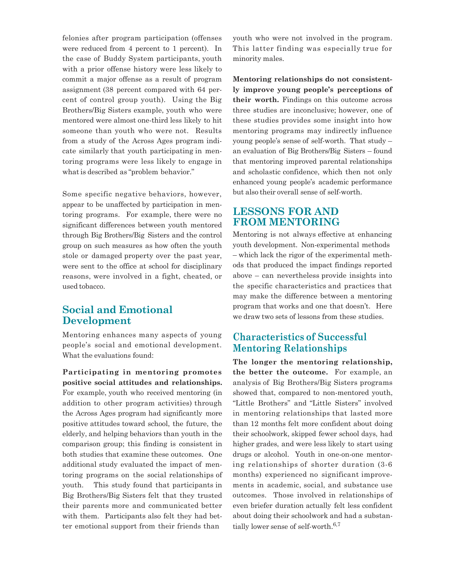felonies after program participation (offenses were reduced from 4 percent to 1 percent). In the case of Buddy System participants, youth with a prior offense history were less likely to commit a major offense as a result of program assignment (38 percent compared with 64 percent of control group youth). Using the Big Brothers/Big Sisters example, youth who were mentored were almost one-third less likely to hit someone than youth who were not. Results from a study of the Across Ages program indicate similarly that youth participating in mentoring programs were less likely to engage in what is described as "problem behavior."

Some specific negative behaviors, however, appear to be unaffected by participation in mentoring programs. For example, there were no significant differences between youth mentored through Big Brothers/Big Sisters and the control group on such measures as how often the youth stole or damaged property over the past year, were sent to the office at school for disciplinary reasons, were involved in a fight, cheated, or used tobacco.

## **Social and Emotional Development**

Mentoring enhances many aspects of young people's social and emotional development. What the evaluations found:

**Participating in mentoring promotes positive social attitudes and relationships.**  For example, youth who received mentoring (in addition to other program activities) through the Across Ages program had significantly more positive attitudes toward school, the future, the elderly, and helping behaviors than youth in the comparison group; this finding is consistent in both studies that examine these outcomes. One additional study evaluated the impact of mentoring programs on the social relationships of youth. This study found that participants in Big Brothers/Big Sisters felt that they trusted their parents more and communicated better with them. Participants also felt they had better emotional support from their friends than

youth who were not involved in the program. This latter finding was especially true for minority males.

**Mentoring relationships do not consistently improve young people's perceptions of their worth.** Findings on this outcome across three studies are inconclusive; however, one of these studies provides some insight into how mentoring programs may indirectly influence young people's sense of self-worth. That study – an evaluation of Big Brothers/Big Sisters – found that mentoring improved parental relationships and scholastic confidence, which then not only enhanced young people's academic performance but also their overall sense of self-worth.

### **LESSONS FOR AND FROM MENTORING**

Mentoring is not always effective at enhancing youth development. Non-experimental methods – which lack the rigor of the experimental methods that produced the impact findings reported above – can nevertheless provide insights into the specific characteristics and practices that may make the difference between a mentoring program that works and one that doesn't. Here we draw two sets of lessons from these studies.

### **Characteristics of Successful Mentoring Relationships**

**The longer the mentoring relationship, the better the outcome.** For example, an analysis of Big Brothers/Big Sisters programs showed that, compared to non-mentored youth, "Little Brothers" and "Little Sisters" involved in mentoring relationships that lasted more than 12 months felt more confident about doing their schoolwork, skipped fewer school days, had higher grades, and were less likely to start using drugs or alcohol. Youth in one-on-one mentoring relationships of shorter duration (3-6 months) experienced no significant improvements in academic, social, and substance use outcomes. Those involved in relationships of even briefer duration actually felt less confident about doing their schoolwork and had a substantially lower sense of self-worth. $6,7$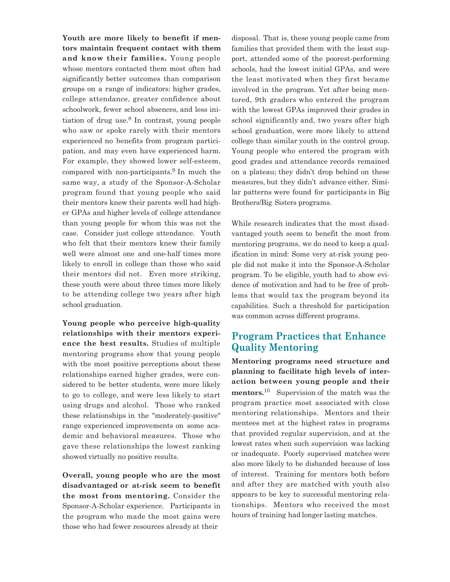**Youth are more likely to benefit if mentors maintain frequent contact with them and know their families.** Young people whose mentors contacted them most often had significantly better outcomes than comparison groups on a range of indicators: higher grades, college attendance, greater confidence about schoolwork, fewer school absences, and less initiation of drug use. $8 \text{ In contrast, young people}$ who saw or spoke rarely with their mentors experienced no benefits from program participation, and may even have experienced harm. For example, they showed lower self-esteem, compared with non-participants.<sup>9</sup> In much the same way, a study of the Sponsor-A-Scholar program found that young people who said their mentors knew their parents well had higher GPAs and higher levels of college attendance than young people for whom this was not the case. Consider just college attendance. Youth who felt that their mentors knew their family well were almost one and one-half times more likely to enroll in college than those who said their mentors did not. Even more striking, these youth were about three times more likely to be attending college two years after high school graduation.

**Young people who perceive high-quality relationships with their mentors experience the best results.** Studies of multiple mentoring programs show that young people with the most positive perceptions about these relationships earned higher grades, were considered to be better students, were more likely to go to college, and were less likely to start using drugs and alcohol. Those who ranked these relationships in the "moderately-positive" range experienced improvements on some academic and behavioral measures. Those who gave these relationships the lowest ranking showed virtually no positive results.

**Overall, young people who are the most disadvantaged or at-risk seem to benefit the most from mentoring.** Consider the Sponsor-A-Scholar experience. Participants in the program who made the most gains were those who had fewer resources already at their

disposal. That is, these young people came from families that provided them with the least support, attended some of the poorest-performing schools, had the lowest initial GPAs, and were the least motivated when they first became involved in the program. Yet after being mentored, 9th graders who entered the program with the lowest GPAs improved their grades in school significantly and, two years after high school graduation, were more likely to attend college than similar youth in the control group. Young people who entered the program with good grades and attendance records remained on a plateau; they didn't drop behind on these measures, but they didn't advance either. Similar patterns were found for participants in Big Brothers/Big Sisters programs.

While research indicates that the most disadvantaged youth seem to benefit the most from mentoring programs, we do need to keep a qualification in mind: Some very at-risk young people did not make it into the Sponsor-A-Scholar program. To be eligible, youth had to show evidence of motivation and had to be free of problems that would tax the program beyond its capabilities. Such a threshold for participation was common across different programs.

## **Program Practices that Enhance Quality Mentoring**

**Mentoring programs need structure and planning to facilitate high levels of interaction between young people and their mentors.**10 Supervision of the match was the program practice most associated with close mentoring relationships. Mentors and their mentees met at the highest rates in programs that provided regular supervision, and at the lowest rates when such supervision was lacking or inadequate. Poorly supervised matches were also more likely to be disbanded because of loss of interest. Training for mentors both before and after they are matched with youth also appears to be key to successful mentoring relationships. Mentors who received the most hours of training had longer lasting matches.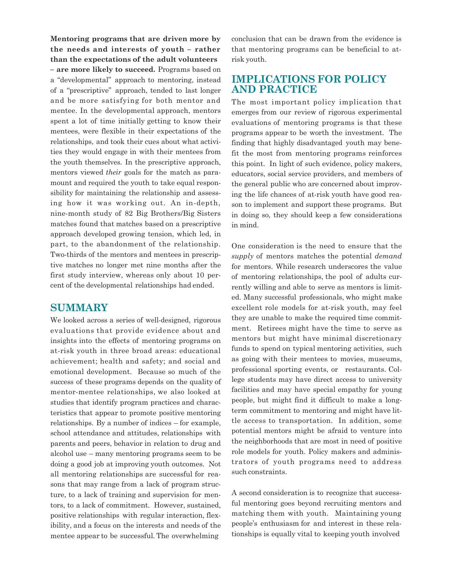**Mentoring programs that are driven more by the needs and interests of youth – rather than the expectations of the adult volunteers – are more likely to succeed.** Programs based on a "developmental" approach to mentoring, instead of a "prescriptive" approach, tended to last longer and be more satisfying for both mentor and mentee. In the developmental approach, mentors spent a lot of time initially getting to know their mentees, were flexible in their expectations of the relationships, and took their cues about what activities they would engage in with their mentees from the youth themselves. In the prescriptive approach, mentors viewed *their* goals for the match as paramount and required the youth to take equal responsibility for maintaining the relationship and assessing how it was working out. An in-depth, nine-month study of 82 Big Brothers/Big Sisters matches found that matches based on a prescriptive approach developed growing tension, which led, in part, to the abandonment of the relationship. Two-thirds of the mentors and mentees in prescriptive matches no longer met nine months after the first study interview, whereas only about 10 percent of the developmental relationships had ended.

### **SUMMARY**

We looked across a series of well-designed, rigorous evaluations that provide evidence about and insights into the effects of mentoring programs on at-risk youth in three broad areas: educational achievement; health and safety; and social and emotional development. Because so much of the success of these programs depends on the quality of mentor-mentee relationships, we also looked at studies that identify program practices and characteristics that appear to promote positive mentoring relationships. By a number of indices – for example, school attendance and attitudes, relationships with parents and peers, behavior in relation to drug and alcohol use – many mentoring programs seem to be doing a good job at improving youth outcomes. Not all mentoring relationships are successful for reasons that may range from a lack of program structure, to a lack of training and supervision for mentors, to a lack of commitment. However, sustained, positive relationships with regular interaction, flexibility, and a focus on the interests and needs of the mentee appear to be successful. The overwhelming

conclusion that can be drawn from the evidence is that mentoring programs can be beneficial to atrisk youth.

### **IMPLICATIONS FOR POLICY AND PRACTICE**

The most important policy implication that emerges from our review of rigorous experimental evaluations of mentoring programs is that these programs appear to be worth the investment. The finding that highly disadvantaged youth may benefit the most from mentoring programs reinforces this point. In light of such evidence, policy makers, educators, social service providers, and members of the general public who are concerned about improving the life chances of at-risk youth have good reason to implement and support these programs. But in doing so, they should keep a few considerations in mind.

One consideration is the need to ensure that the *supply* of mentors matches the potential *demand*  for mentors. While research underscores the value of mentoring relationships, the pool of adults currently willing and able to serve as mentors is limited. Many successful professionals, who might make excellent role models for at-risk youth, may feel they are unable to make the required time commitment. Retirees might have the time to serve as mentors but might have minimal discretionary funds to spend on typical mentoring activities, such as going with their mentees to movies, museums, professional sporting events, or restaurants. College students may have direct access to university facilities and may have special empathy for young people, but might find it difficult to make a longterm commitment to mentoring and might have little access to transportation. In addition, some potential mentors might be afraid to venture into the neighborhoods that are most in need of positive role models for youth. Policy makers and administrators of youth programs need to address such constraints.

A second consideration is to recognize that successful mentoring goes beyond recruiting mentors and matching them with youth. Maintaining young people's enthusiasm for and interest in these relationships is equally vital to keeping youth involved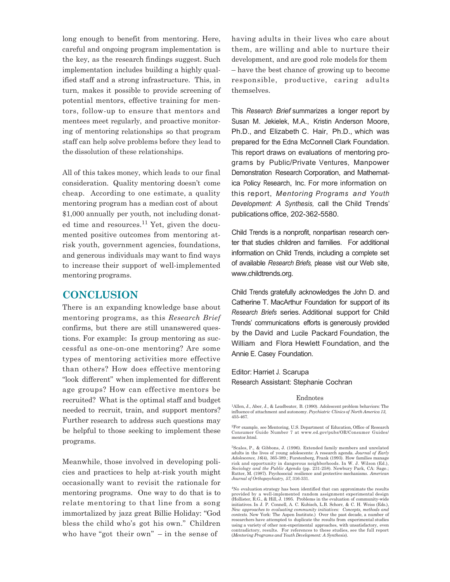long enough to benefit from mentoring. Here, careful and ongoing program implementation is the key, as the research findings suggest. Such implementation includes building a highly qualified staff and a strong infrastructure. This, in turn, makes it possible to provide screening of potential mentors, effective training for mentors, follow-up to ensure that mentors and mentees meet regularly, and proactive monitoring of mentoring relationships so that program staff can help solve problems before they lead to the dissolution of these relationships.

All of this takes money, which leads to our final consideration. Quality mentoring doesn't come cheap. According to one estimate, a quality mentoring program has a median cost of about \$1,000 annually per youth, not including donated time and resources.<sup>11</sup> Yet, given the documented positive outcomes from mentoring atrisk youth, government agencies, foundations, and generous individuals may want to find ways to increase their support of well-implemented mentoring programs.

### **CONCLUSION**

There is an expanding knowledge base about mentoring programs, as this *Research Brief*  confirms, but there are still unanswered questions. For example: Is group mentoring as successful as one-on-one mentoring? Are some types of mentoring activities more effective than others? How does effective mentoring "look different" when implemented for different age groups? How can effective mentors be recruited? What is the optimal staff and budget needed to recruit, train, and support mentors? Further research to address such questions may be helpful to those seeking to implement these programs.

Meanwhile, those involved in developing policies and practices to help at-risk youth might occasionally want to revisit the rationale for mentoring programs. One way to do that is to relate mentoring to that line from a song immortalized by jazz great Billie Holiday: "God bless the child who's got his own." Children who have "got their own" – in the sense of

having adults in their lives who care about them, are willing and able to nurture their development, and are good role models for them – have the best chance of growing up to become responsible, productive, caring adults themselves.

This *Research Brief* summarizes a longer report by Susan M. Jekielek, M.A., Kristin Anderson Moore, Ph.D., and Elizabeth C. Hair, Ph.D., which was prepared for the Edna McConnell Clark Foundation. This report draws on evaluations of mentoring programs by Public/Private Ventures, Manpower Demonstration Research Corporation, and Mathematica Policy Research, Inc. For more information on this report, *Mentoring Programs and Youth Development: A Synthesis,* call the Child Trends' publications office, 202-362-5580.

Child Trends is a nonprofit, nonpartisan research center that studies children and families. For additional information on Child Trends, including a complete set of available *Research Briefs,* please visit our Web site, www.childtrends.org.

Child Trends gratefully acknowledges the John D. and Catherine T. MacArthur Foundation for support of its *Research Briefs* series. Additional support for Child Trends' communications efforts is generously provided by the David and Lucile Packard Foundation, the William and Flora Hewlett Foundation, and the Annie E. Casey Foundation.

#### Editor: Harriet J. Scarupa

Research Assistant: Stephanie Cochran

#### Endnotes

<sup>4</sup>No evaluation strategy has been identified that can approximate the results provided by a well-implemented random assignment experimental design (Hollister, R.G., & Hill, J. 1995. Problems in the evaluation of community-wide initiatives. In J. P. Connell, A. C. Kubisch, L.B. Schorr, & C. H. Weiss (Eds.), *New approaches to evaluating community initiatives: Concepts, methods and contexts.* New York: The Aspen Institute.) Over the past decade, a number of researchers have attempted to duplicate the results from experimental studies using a variety of other non-experimental approaches, with unsatisfactory, even contradictory, results. For references to these studies, see the full report (*Mentoring Programs and Youth Development: A Synthesis*).

<sup>1</sup>Allen, J., Aber, J., & Leadbeater, B. (1990). Adolescent problem behaviors: The influence of attachment and autonomy. *Psychiatric Clinics of North America 13,* 455-467.

<sup>2</sup>For example, see Mentoring, U.S. Department of Education, Office of Research Consumer Guide Number 7 at www.ed.gov/pubs/OR/Consumer Guides/ mentor.html.

<sup>3</sup>Scales, P., & Gibbons, J. (1996). Extended family members and unrelated adults in the lives of young adolescents: A research agenda. *Journal of Early Adolescence, 16*(4), 365-389.; Furstenberg, Frank (1993). How families manage risk and opportunity in dangerous neighborhoods. In W. J. Wilson (Ed.), *Sociology and the Public Agenda* (pp. 231-258). Newbury Park, CA: Sage.; Rutter, M. (1987). Psychosocial resilience and protective mechanisms. *American Journal of Orthopsychiatry, 57,* 316-331.